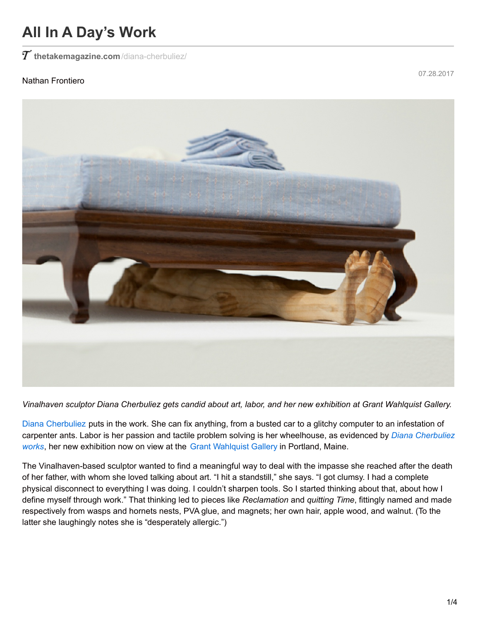## **All In A Day's Work**

 $T$  [thetakemagazine.com](https://thetakemagazine.com/diana-cherbuliez/)/diana-cherbuliez/

## Nathan Frontiero

07.28.2017



Vinalhaven sculptor Diana Cherbuliez gets candid about art, labor, and her new exhibition at Grant Wahlquist Gallery.

Diana [Cherbuliez](http://www.dianacherbuliez.com/) puts in the work. She can fix anything, from a busted car to a glitchy computer to an infestation of carpenter ants. Labor is her passion and tactile problem solving is her [wheelhouse,](https://www.grantwahlquist.com/diana-cherbuliez-works) as evidenced by *Diana Cherbuliez wo[rks](https://www.grantwahlquist.com/diana-cherbuliez-works)*, her new exhibition now on view at the Grant [Wahlquist](https://www.grantwahlquist.com/about) Gallery in Portland, Maine.

The Vinalhaven-based sculptor wanted to find a meaningful way to deal with the impasse she reached after the death of her father, with whom she loved talking about art. "I hit a standstill," she says. "I got clumsy. I had a complete physical disconnect to everything I was doing. I couldn't sharpen tools. So I started thinking about that, about how I define myself through work." That thinking led to pieces like *Reclamation* and *quitting Time*, fittingly named and made respectively from wasps and hornets nests, PVA glue, and magnets; her own hair, apple wood, and walnut. (To the latter she laughingly notes she is "desperately allergic.")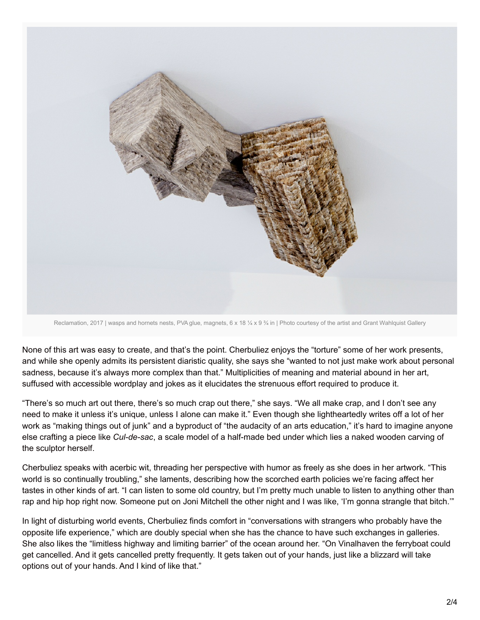

Reclamation, 2017 | wasps and hornets nests, PVA glue, magnets, 6 x 18 ¼ x 9 ¾ in | Photo courtesy of the artist and Grant Wahlquist Gallery

None of this art was easy to create, and that's the point. Cherbuliez enjoys the "torture" some of her work presents, and while she openly admits its persistent diaristic quality, she says she "wanted to not just make work about personal sadness, because it's always more complex than that." Multiplicities of meaning and material abound in her art, suffused with accessible wordplay and jokes as it elucidates the strenuous effort required to produce it.

"There's so much art out there, there's so much crap out there," she says. "We all make crap, and I don't see any need to make it unless it's unique, unless I alone can make it." Even though she lightheartedly writes off a lot of her work as "making things out of junk" and a byproduct of "the audacity of an arts education," it's hard to imagine anyone else crafting a piece like *Cul-de-sac*, a scale model of a half-made bed under which lies a naked wooden carving of the sculptor herself.

Cherbuliez speaks with acerbic wit, threading her perspective with humor as freely as she does in her artwork. "This world is so continually troubling," she laments, describing how the scorched earth policies we're facing affect her tastes in other kinds of art. "I can listen to some old country, but I'm pretty much unable to listen to anything other than rap and hip hop right now. Someone put on Joni Mitchell the other night and I was like, 'I'm gonna strangle that bitch."

In light of disturbing world events, Cherbuliez finds comfort in "conversations with strangers who probably have the opposite life experience," which are doubly special when she has the chance to have such exchanges in galleries. She also likes the "limitless highway and limiting barrier" of the ocean around her. "On Vinalhaven the ferryboat could get cancelled. And it gets cancelled pretty frequently. It gets taken out of your hands, just like a blizzard will take options out of your hands. And I kind of like that."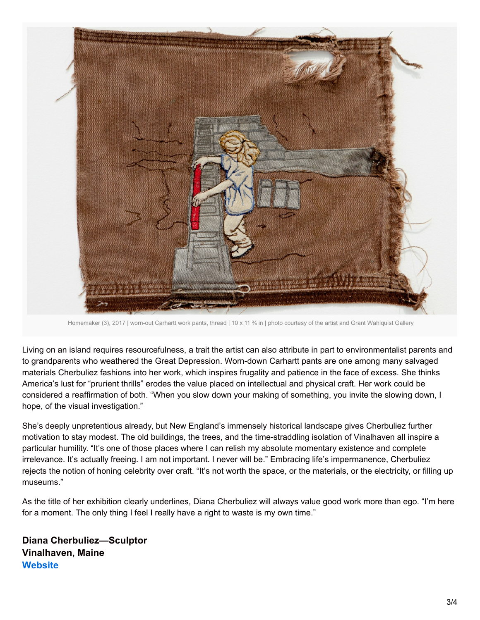

Homemaker (3), 2017 | worn-out Carhartt work pants, thread | 10 x 11 % in | photo courtesy of the artist and Grant Wahlquist Gallery

Living on an island requires resourcefulness, a trait the artist can also attribute in part to environmentalist parents and to grandparents who weathered the Great Depression. Worn-down Carhartt pants are one among many salvaged materials Cherbuliez fashions into her work, which inspires frugality and patience in the face of excess. She thinks America's lust for "prurient thrills" erodes the value placed on intellectual and physical craft. Her work could be considered a reaffirmation of both. "When you slow down your making of something, you invite the slowing down, I hope, of the visual investigation."

She's deeply unpretentious already, but New England's immensely historical landscape gives Cherbuliez further motivation to stay modest. The old buildings, the trees, and the time-straddling isolation of Vinalhaven all inspire a particular humility. "It's one of those places where I can relish my absolute momentary existence and complete irrelevance. It's actually freeing. I am not important. I never will be." Embracing life's impermanence, Cherbuliez rejects the notion of honing celebrity over craft. "It's not worth the space, or the materials, or the electricity, or filling up museums."

As the title of her exhibition clearly underlines, Diana Cherbuliez will always value good work more than ego. "I'm here for a moment. The only thing I feel I really have a right to waste is my own time."

**Diana Cherbuliez—Sculptor Vinalhaven, Maine [Website](http://www.dianacherbuliez.com/)**